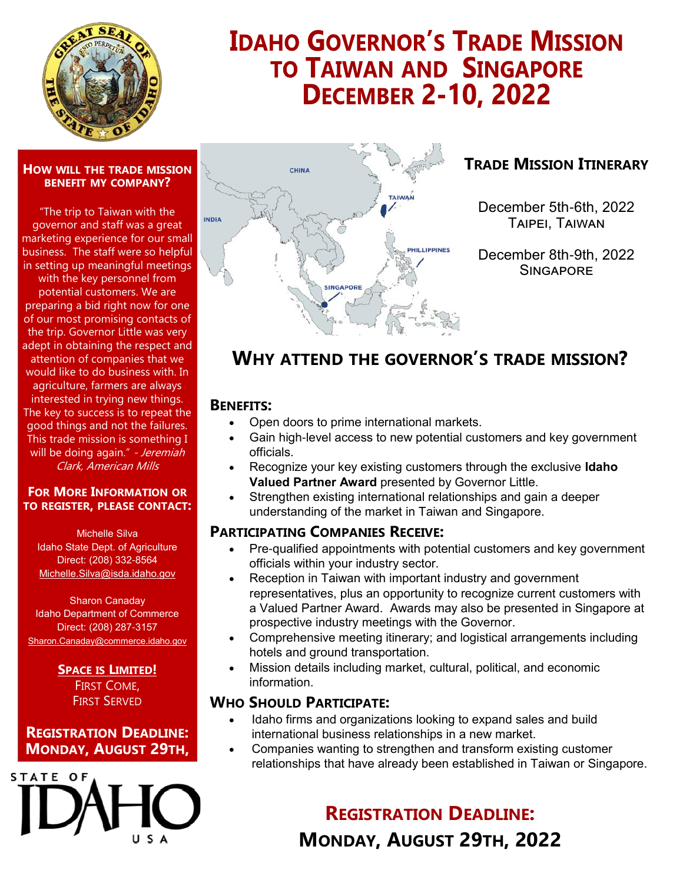

# **IDAHO GOVERNOR'S TRADE MISSION TO TAIWAN AND SINGAPORE DECEMBER 2-10, 2022**

#### **HOW WILL THE TRADE MISSION BENEFIT MY COMPANY?**

"The trip to Taiwan with the governor and staff was a great marketing experience for our small business. The staff were so helpful in setting up meaningful meetings with the key personnel from potential customers. We are preparing a bid right now for one of our most promising contacts of the trip. Governor Little was very adept in obtaining the respect and attention of companies that we would like to do business with. In agriculture, farmers are always interested in trying new things. The key to success is to repeat the good things and not the failures. This trade mission is something I will be doing again." - Jeremiah Clark, American Mills

#### **FOR MORE INFORMATION OR TO REGISTER, PLEASE CONTACT:**

Michelle Silva Idaho State Dept. of Agriculture Direct: (208) 332-8564 Michelle.Silva@isda.idaho.gov

Sharon Canaday Idaho Department of Commerce Direct: (208) 287-3157 Sharon.Canaday@commerce.idaho.gov

#### **SPACE IS LIMITED!** FIRST COME, FIRST SERVED

### **REGISTRATION DEADLINE: MONDAY, AUGUST 29TH,**





## **TRADE MISSION ITINERARY**

December 5th-6th, 2022 Taipei, Taiwan

December 8th-9th, 2022 **SINGAPORF** 

# **WHY ATTEND THE GOVERNOR'S TRADE MISSION?**

### **BENEFITS:**

- Open doors to prime international markets.
- Gain high-level access to new potential customers and key government officials.
- Recognize your key existing customers through the exclusive **Idaho Valued Partner Award** presented by Governor Little.
- Strengthen existing international relationships and gain a deeper understanding of the market in Taiwan and Singapore.

### **PARTICIPATING COMPANIES RECEIVE:**

- Pre-qualified appointments with potential customers and key government officials within your industry sector.
- Reception in Taiwan with important industry and government representatives, plus an opportunity to recognize current customers with a Valued Partner Award. Awards may also be presented in Singapore at prospective industry meetings with the Governor.
- Comprehensive meeting itinerary; and logistical arrangements including hotels and ground transportation.
- Mission details including market, cultural, political, and economic information.

### **WHO SHOULD PARTICIPATE:**

- Idaho firms and organizations looking to expand sales and build international business relationships in a new market.
- Companies wanting to strengthen and transform existing customer relationships that have already been established in Taiwan or Singapore.

**REGISTRATION DEADLINE: MONDAY, AUGUST 29TH, 2022**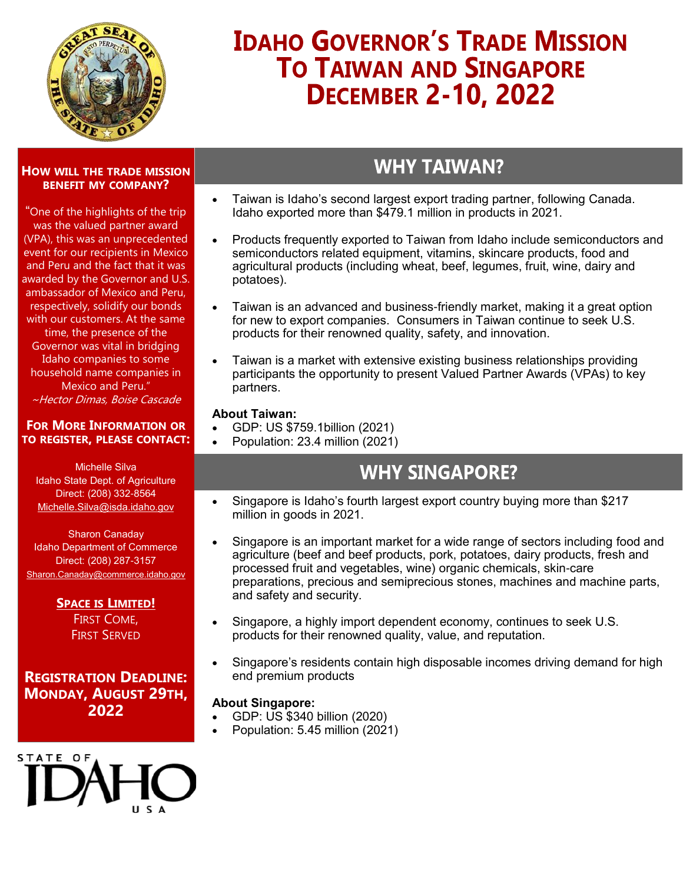

# **IDAHO GOVERNOR'S TRADE MISSION TO TAIWAN AND SINGAPORE DECEMBER 2-10, 2022**

## **WHY TAIWAN?**

**HOW WILL THE TRADE MISSION BENEFIT MY COMPANY?**

"One of the highlights of the trip was the valued partner award (VPA), this was an unprecedented event for our recipients in Mexico and Peru and the fact that it was awarded by the Governor and U.S. ambassador of Mexico and Peru, respectively, solidify our bonds with our customers. At the same time, the presence of the Governor was vital in bridging Idaho companies to some household name companies in Mexico and Peru." ~Hector Dimas, Boise Cascade

#### **FOR MORE INFORMATION OR TO REGISTER, PLEASE CONTACT:**

Michelle Silva Idaho State Dept. of Agriculture Direct: (208) 332-8564 Michelle.Silva@isda.idaho.gov

Sharon Canaday Idaho Department of Commerce Direct: (208) 287-3157 Sharon.Canaday@commerce.idaho.gov

> **SPACE IS LIMITED!** FIRST COME, FIRST SERVED

**REGISTRATION DEADLINE: MONDAY, AUGUST 29TH, 2022**



- Taiwan is Idaho's second largest export trading partner, following Canada. Idaho exported more than \$479.1 million in products in 2021.
- Products frequently exported to Taiwan from Idaho include semiconductors and semiconductors related equipment, vitamins, skincare products, food and agricultural products (including wheat, beef, legumes, fruit, wine, dairy and potatoes).
- Taiwan is an advanced and business-friendly market, making it a great option for new to export companies. Consumers in Taiwan continue to seek U.S. products for their renowned quality, safety, and innovation.
- Taiwan is a market with extensive existing business relationships providing participants the opportunity to present Valued Partner Awards (VPAs) to key partners.

#### **About Taiwan:**

- GDP: US \$759.1billion (2021)
- Population: 23.4 million (2021)

# **WHY SINGAPORE?**

- Singapore is Idaho's fourth largest export country buying more than \$217 million in goods in 2021.
- Singapore is an important market for a wide range of sectors including food and agriculture (beef and beef products, pork, potatoes, dairy products, fresh and processed fruit and vegetables, wine) organic chemicals, skin-care preparations, precious and semiprecious stones, machines and machine parts, and safety and security.
- Singapore, a highly import dependent economy, continues to seek U.S. products for their renowned quality, value, and reputation.
- Singapore's residents contain high disposable incomes driving demand for high end premium products

#### **About Singapore:**

- GDP: US \$340 billion (2020)
- Population: 5.45 million (2021)